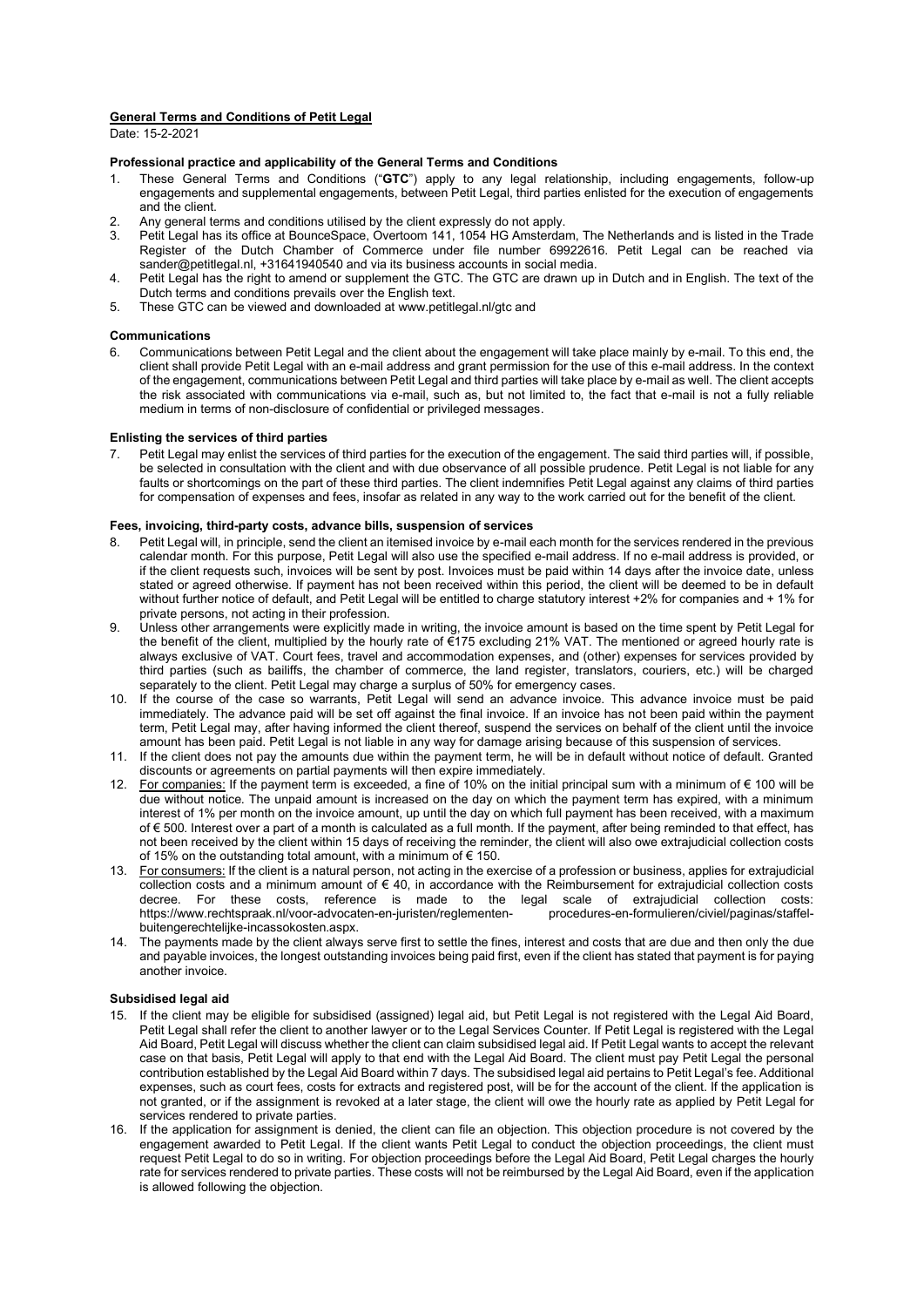### **General Terms and Conditions of Petit Legal**

Date: 15-2-2021

# **Professional practice and applicability of the General Terms and Conditions**

- 1. These General Terms and Conditions ("**GTC**") apply to any legal relationship, including engagements, follow-up engagements and supplemental engagements, between Petit Legal, third parties enlisted for the execution of engagements and the client.
- 2. Any general terms and conditions utilised by the client expressly do not apply.<br>2. Petit Legal has its office at BounceSpace, Overtoom 141, 1054 HG Amsterda.
- 3. Petit Legal has its office at BounceSpace, Overtoom 141, 1054 HG Amsterdam, The Netherlands and is listed in the Trade Register of the Dutch Chamber of Commerce under file number 69922616. Petit Legal can be reached via sander@petitlegal.nl, +31641940540 and via its business accounts in social media.
- 4. Petit Legal has the right to amend or supplement the GTC. The GTC are drawn up in Dutch and in English. The text of the Dutch terms and conditions prevails over the English text.
- 5. These GTC can be viewed and downloaded at www.petitlegal.nl/gtc and

# **Communications**

6. Communications between Petit Legal and the client about the engagement will take place mainly by e-mail. To this end, the client shall provide Petit Legal with an e-mail address and grant permission for the use of this e-mail address. In the context of the engagement, communications between Petit Legal and third parties will take place by e-mail as well. The client accepts the risk associated with communications via e-mail, such as, but not limited to, the fact that e-mail is not a fully reliable medium in terms of non-disclosure of confidential or privileged messages.

### **Enlisting the services of third parties**

7. Petit Legal may enlist the services of third parties for the execution of the engagement. The said third parties will, if possible, be selected in consultation with the client and with due observance of all possible prudence. Petit Legal is not liable for any faults or shortcomings on the part of these third parties. The client indemnifies Petit Legal against any claims of third parties for compensation of expenses and fees, insofar as related in any way to the work carried out for the benefit of the client.

### **Fees, invoicing, third-party costs, advance bills, suspension of services**

- 8. Petit Legal will, in principle, send the client an itemised invoice by e-mail each month for the services rendered in the previous calendar month. For this purpose, Petit Legal will also use the specified e-mail address. If no e-mail address is provided, or if the client requests such, invoices will be sent by post. Invoices must be paid within 14 days after the invoice date, unless stated or agreed otherwise. If payment has not been received within this period, the client will be deemed to be in default without further notice of default, and Petit Legal will be entitled to charge statutory interest +2% for companies and + 1% for private persons, not acting in their profession.
- 9. Unless other arrangements were explicitly made in writing, the invoice amount is based on the time spent by Petit Legal for the benefit of the client, multiplied by the hourly rate of €175 excluding 21% VAT. The mentioned or agreed hourly rate is always exclusive of VAT. Court fees, travel and accommodation expenses, and (other) expenses for services provided by third parties (such as bailiffs, the chamber of commerce, the land register, translators, couriers, etc.) will be charged separately to the client. Petit Legal may charge a surplus of 50% for emergency cases.
- 10. If the course of the case so warrants, Petit Legal will send an advance invoice. This advance invoice must be paid immediately. The advance paid will be set off against the final invoice. If an invoice has not been paid within the payment term, Petit Legal may, after having informed the client thereof, suspend the services on behalf of the client until the invoice amount has been paid. Petit Legal is not liable in any way for damage arising because of this suspension of services.
- 11. If the client does not pay the amounts due within the payment term, he will be in default without notice of default. Granted discounts or agreements on partial payments will then expire immediately.
- 12. For companies: If the payment term is exceeded, a fine of 10% on the initial principal sum with a minimum of € 100 will be due without notice. The unpaid amount is increased on the day on which the payment term has expired, with a minimum interest of 1% per month on the invoice amount, up until the day on which full payment has been received, with a maximum of € 500. Interest over a part of a month is calculated as a full month. If the payment, after being reminded to that effect, has not been received by the client within 15 days of receiving the reminder, the client will also owe extrajudicial collection costs of 15% on the outstanding total amount, with a minimum of € 150.
- 13. For consumers: If the client is a natural person, not acting in the exercise of a profession or business, applies for extrajudicial collection costs and a minimum amount of € 40, in accordance with the Reimbursement for extrajudicial collection costs<br>decree For these costs reference is made to the legal scale of extrajudicial collection costs: decree. For these costs, reference is made to the legal scale of extrajudicial https://www.rechtspraak.nl/voor-advocaten-en-juristen/reglementen- procedures-en-formulieren/civiel/paginas/staffelbuitengerechtelijke-incassokosten.aspx.
- 14. The payments made by the client always serve first to settle the fines, interest and costs that are due and then only the due and payable invoices, the longest outstanding invoices being paid first, even if the client has stated that payment is for paying another invoice.

# **Subsidised legal aid**

- 15. If the client may be eligible for subsidised (assigned) legal aid, but Petit Legal is not registered with the Legal Aid Board, Petit Legal shall refer the client to another lawyer or to the Legal Services Counter. If Petit Legal is registered with the Legal Aid Board, Petit Legal will discuss whether the client can claim subsidised legal aid. If Petit Legal wants to accept the relevant case on that basis, Petit Legal will apply to that end with the Legal Aid Board. The client must pay Petit Legal the personal contribution established by the Legal Aid Board within 7 days. The subsidised legal aid pertains to Petit Legal's fee. Additional expenses, such as court fees, costs for extracts and registered post, will be for the account of the client. If the application is not granted, or if the assignment is revoked at a later stage, the client will owe the hourly rate as applied by Petit Legal for services rendered to private parties.
- 16. If the application for assignment is denied, the client can file an objection. This objection procedure is not covered by the engagement awarded to Petit Legal. If the client wants Petit Legal to conduct the objection proceedings, the client must request Petit Legal to do so in writing. For objection proceedings before the Legal Aid Board, Petit Legal charges the hourly rate for services rendered to private parties. These costs will not be reimbursed by the Legal Aid Board, even if the application is allowed following the objection.